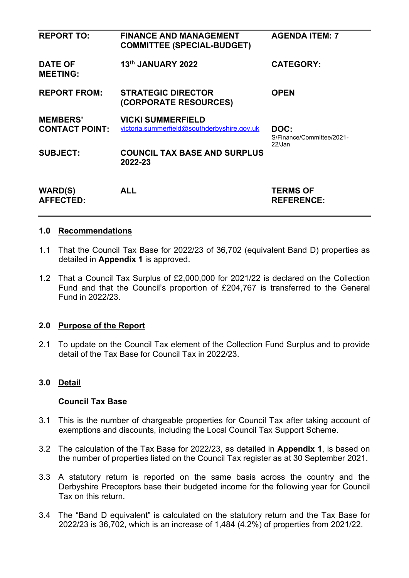| <b>REPORT TO:</b>                        | <b>FINANCE AND MANAGEMENT</b><br><b>COMMITTEE (SPECIAL-BUDGET)</b>      | <b>AGENDA ITEM: 7</b>                       |
|------------------------------------------|-------------------------------------------------------------------------|---------------------------------------------|
| <b>DATE OF</b><br><b>MEETING:</b>        | 13th JANUARY 2022                                                       | <b>CATEGORY:</b>                            |
| <b>REPORT FROM:</b>                      | <b>STRATEGIC DIRECTOR</b><br>(CORPORATE RESOURCES)                      | <b>OPEN</b>                                 |
| <b>MEMBERS'</b><br><b>CONTACT POINT:</b> | <b>VICKI SUMMERFIELD</b><br>victoria.summerfield@southderbyshire.gov.uk | DOC:<br>S/Finance/Committee/2021-<br>22/Jan |
| <b>SUBJECT:</b>                          | <b>COUNCIL TAX BASE AND SURPLUS</b><br>2022-23                          |                                             |
| <b>WARD(S)</b><br><b>AFFECTED:</b>       | <b>ALL</b>                                                              | <b>TERMS OF</b><br><b>REFERENCE:</b>        |

## **1.0 Recommendations**

- 1.1 That the Council Tax Base for 2022/23 of 36,702 (equivalent Band D) properties as detailed in **Appendix 1** is approved.
- 1.2 That a Council Tax Surplus of £2,000,000 for 2021/22 is declared on the Collection Fund and that the Council's proportion of £204,767 is transferred to the General Fund in 2022/23.

## **2.0 Purpose of the Report**

2.1 To update on the Council Tax element of the Collection Fund Surplus and to provide detail of the Tax Base for Council Tax in 2022/23.

## **3.0 Detail**

## **Council Tax Base**

- 3.1 This is the number of chargeable properties for Council Tax after taking account of exemptions and discounts, including the Local Council Tax Support Scheme.
- 3.2 The calculation of the Tax Base for 2022/23, as detailed in **Appendix 1**, is based on the number of properties listed on the Council Tax register as at 30 September 2021.
- 3.3 A statutory return is reported on the same basis across the country and the Derbyshire Preceptors base their budgeted income for the following year for Council Tax on this return.
- 3.4 The "Band D equivalent" is calculated on the statutory return and the Tax Base for 2022/23 is 36,702, which is an increase of 1,484 (4.2%) of properties from 2021/22.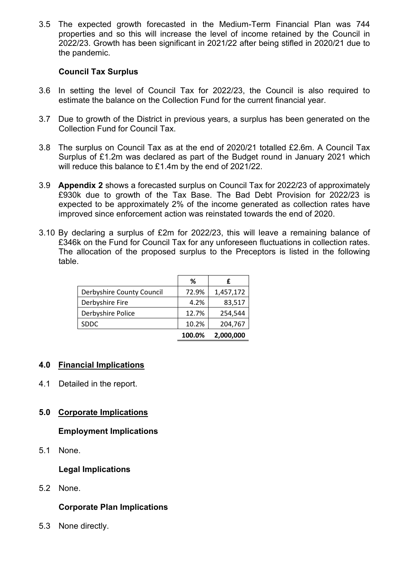3.5 The expected growth forecasted in the Medium-Term Financial Plan was 744 properties and so this will increase the level of income retained by the Council in 2022/23. Growth has been significant in 2021/22 after being stifled in 2020/21 due to the pandemic.

### **Council Tax Surplus**

- 3.6 In setting the level of Council Tax for 2022/23, the Council is also required to estimate the balance on the Collection Fund for the current financial year.
- 3.7 Due to growth of the District in previous years, a surplus has been generated on the Collection Fund for Council Tax.
- 3.8 The surplus on Council Tax as at the end of 2020/21 totalled £2.6m. A Council Tax Surplus of £1.2m was declared as part of the Budget round in January 2021 which will reduce this balance to £1.4m by the end of 2021/22.
- 3.9 **Appendix 2** shows a forecasted surplus on Council Tax for 2022/23 of approximately £930k due to growth of the Tax Base. The Bad Debt Provision for 2022/23 is expected to be approximately 2% of the income generated as collection rates have improved since enforcement action was reinstated towards the end of 2020.
- 3.10 By declaring a surplus of £2m for 2022/23, this will leave a remaining balance of £346k on the Fund for Council Tax for any unforeseen fluctuations in collection rates. The allocation of the proposed surplus to the Preceptors is listed in the following table.

|                           | ℅      | f         |
|---------------------------|--------|-----------|
| Derbyshire County Council | 72.9%  | 1,457,172 |
| Derbyshire Fire           | 4.2%   | 83,517    |
| Derbyshire Police         | 12.7%  | 254,544   |
| <b>SDDC</b>               | 10.2%  | 204,767   |
|                           | 100.0% | 2,000,000 |

### **4.0 Financial Implications**

4.1 Detailed in the report.

### **5.0 Corporate Implications**

### **Employment Implications**

5.1 None.

### **Legal Implications**

5.2 None.

### **Corporate Plan Implications**

5.3 None directly.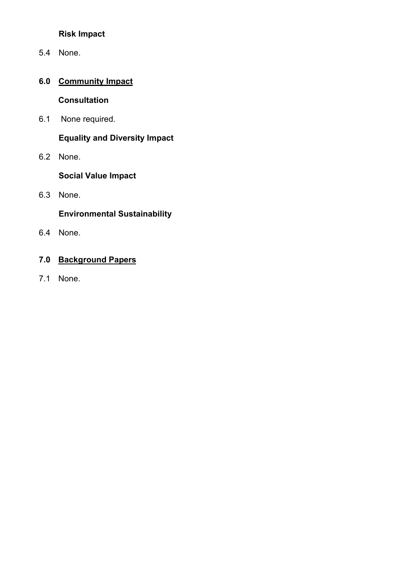## **Risk Impact**

5.4 None.

# **6.0 Community Impact**

## **Consultation**

6.1 None required.

## **Equality and Diversity Impact**

6.2 None.

**Social Value Impact** 

6.3 None.

## **Environmental Sustainability**

6.4 None.

# **7.0 Background Papers**

7.1 None.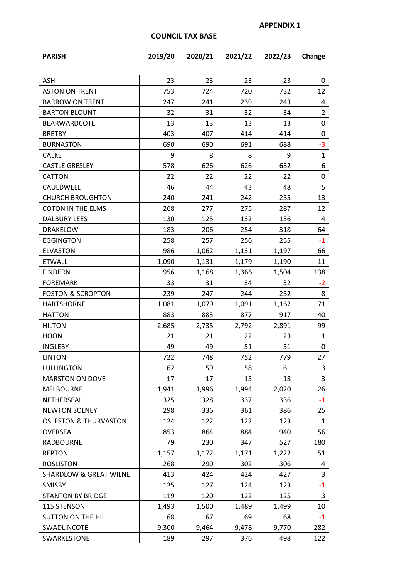## **COUNCIL TAX BASE**

| <b>ASH</b>                        | 23    | 23    | 23    | 23    | 0              |
|-----------------------------------|-------|-------|-------|-------|----------------|
| <b>ASTON ON TRENT</b>             | 753   | 724   | 720   | 732   | 12             |
| <b>BARROW ON TRENT</b>            | 247   | 241   | 239   | 243   | 4              |
| <b>BARTON BLOUNT</b>              | 32    | 31    | 32    | 34    | $\overline{2}$ |
| <b>BEARWARDCOTE</b>               | 13    | 13    | 13    | 13    | 0              |
| <b>BRETBY</b>                     | 403   | 407   | 414   | 414   | 0              |
| <b>BURNASTON</b>                  | 690   | 690   | 691   | 688   | $-3$           |
| <b>CALKE</b>                      | 9     | 8     | 8     | 9     | $\mathbf{1}$   |
| <b>CASTLE GRESLEY</b>             | 578   | 626   | 626   | 632   | 6              |
| CATTON                            | 22    | 22    | 22    | 22    | 0              |
| CAULDWELL                         | 46    | 44    | 43    | 48    | 5              |
| <b>CHURCH BROUGHTON</b>           | 240   | 241   | 242   | 255   | 13             |
| <b>COTON IN THE ELMS</b>          | 268   | 277   | 275   | 287   | 12             |
| <b>DALBURY LEES</b>               | 130   | 125   | 132   | 136   | 4              |
| <b>DRAKELOW</b>                   | 183   | 206   | 254   | 318   | 64             |
| <b>EGGINGTON</b>                  | 258   | 257   | 256   | 255   | $-1$           |
| <b>ELVASTON</b>                   | 986   | 1,062 | 1,131 | 1,197 | 66             |
| <b>ETWALL</b>                     | 1,090 | 1,131 | 1,179 | 1,190 | 11             |
| <b>FINDERN</b>                    | 956   | 1,168 | 1,366 | 1,504 | 138            |
| <b>FOREMARK</b>                   | 33    | 31    | 34    | 32    | $-2$           |
| <b>FOSTON &amp; SCROPTON</b>      | 239   | 247   | 244   | 252   | 8              |
| <b>HARTSHORNE</b>                 | 1,081 | 1,079 | 1,091 | 1,162 | 71             |
| <b>HATTON</b>                     | 883   | 883   | 877   | 917   | 40             |
| <b>HILTON</b>                     | 2,685 | 2,735 | 2,792 | 2,891 | 99             |
| <b>HOON</b>                       | 21    | 21    | 22    | 23    | $\mathbf{1}$   |
| <b>INGLEBY</b>                    | 49    | 49    | 51    | 51    | 0              |
| <b>LINTON</b>                     | 722   | 748   | 752   | 779   | 27             |
| <b>LULLINGTON</b>                 | 62    | 59    | 58    | 61    | 3              |
| <b>MARSTON ON DOVE</b>            | 17    | 17    | 15    | 18    | 3              |
| MELBOURNE                         | 1,941 | 1,996 | 1,994 | 2,020 | 26             |
| NETHERSEAL                        | 325   | 328   | 337   | 336   | $-1$           |
| <b>NEWTON SOLNEY</b>              | 298   | 336   | 361   | 386   | 25             |
| <b>OSLESTON &amp; THURVASTON</b>  | 124   | 122   | 122   | 123   | $\mathbf{1}$   |
| OVERSEAL                          | 853   | 864   | 884   | 940   | 56             |
| <b>RADBOURNE</b>                  | 79    | 230   | 347   | 527   | 180            |
| <b>REPTON</b>                     | 1,157 | 1,172 | 1,171 | 1,222 | 51             |
| <b>ROSLISTON</b>                  | 268   | 290   | 302   | 306   | 4              |
| <b>SHARDLOW &amp; GREAT WILNE</b> | 413   | 424   | 424   | 427   | 3              |
| SMISBY                            | 125   | 127   | 124   | 123   | $-1$           |
| <b>STANTON BY BRIDGE</b>          | 119   | 120   | 122   | 125   | 3              |
| 115 STENSON                       | 1,493 | 1,500 | 1,489 | 1,499 | 10             |
| SUTTON ON THE HILL                | 68    | 67    | 69    | 68    | $-1$           |
|                                   |       |       |       |       |                |
| SWADLINCOTE                       | 9,300 | 9,464 | 9,478 | 9,770 | 282            |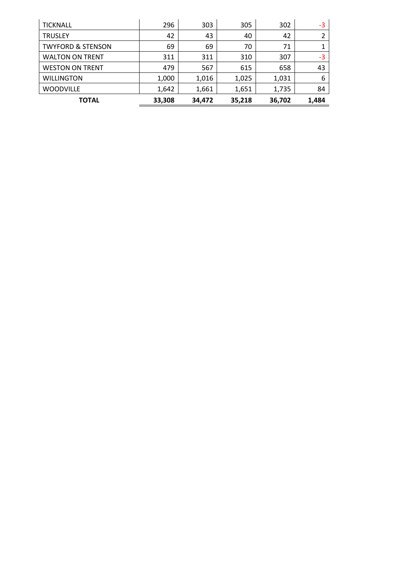| <b>TICKNALL</b>              | 296    | 303    | 305    | 302    | -3    |
|------------------------------|--------|--------|--------|--------|-------|
| <b>TRUSLEY</b>               | 42     | 43     | 40     | 42     | 2     |
| <b>TWYFORD &amp; STENSON</b> | 69     | 69     | 70     | 71     | 1     |
| <b>WALTON ON TRENT</b>       | 311    | 311    | 310    | 307    | -3    |
| <b>WESTON ON TRENT</b>       | 479    | 567    | 615    | 658    | 43    |
| <b>WILLINGTON</b>            | 1,000  | 1,016  | 1,025  | 1,031  | 6     |
| <b>WOODVILLE</b>             | 1,642  | 1,661  | 1,651  | 1,735  | 84    |
| <b>TOTAL</b>                 | 33,308 | 34.472 | 35,218 | 36,702 | 1,484 |